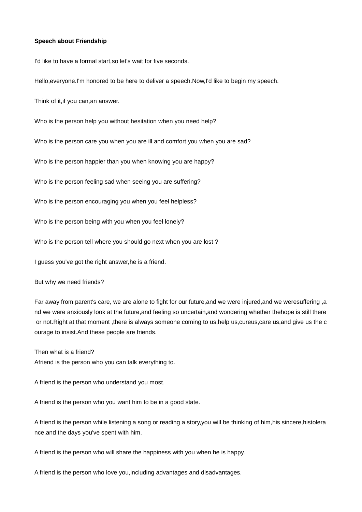## **Speech about Friendship**

I'd like to have a formal start,so let's wait for five seconds.

Hello,everyone.I'm honored to be here to deliver a speech.Now,I'd like to begin my speech.

Think of it,if you can,an answer.

Who is the person help you without hesitation when you need help?

Who is the person care you when you are ill and comfort you when you are sad?

Who is the person happier than you when knowing you are happy?

Who is the person feeling sad when seeing you are suffering?

Who is the person encouraging you when you feel helpless?

Who is the person being with you when you feel lonely?

Who is the person tell where you should go next when you are lost ?

I guess you've got the right answer,he is a friend.

But why we need friends?

Far away from parent's care, we are alone to fight for our future,and we were injured,and we weresuffering ,a nd we were anxiously look at the future,and feeling so uncertain,and wondering whether thehope is still there or not.Right at that moment ,there is always someone coming to us,help us,cureus,care us,and give us the c ourage to insist.And these people are friends.

Then what is a friend? Afriend is the person who you can talk everything to.

A friend is the person who understand you most.

A friend is the person who you want him to be in a good state.

A friend is the person while listening a song or reading a story,you will be thinking of him,his sincere,histolera nce,and the days you've spent with him.

A friend is the person who will share the happiness with you when he is happy.

A friend is the person who love you,including advantages and disadvantages.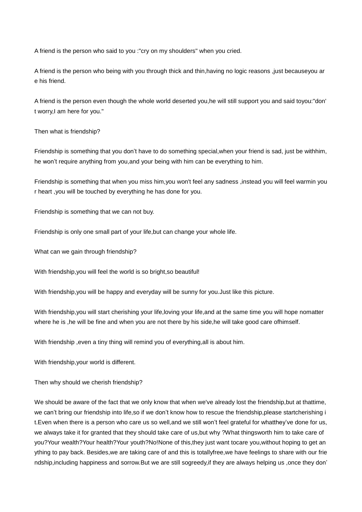A friend is the person who said to you :"cry on my shoulders" when you cried.

A friend is the person who being with you through thick and thin,having no logic reasons ,just becauseyou ar e his friend.

A friend is the person even though the whole world deserted you,he will still support you and said toyou:"don' t worry,I am here for you."

## Then what is friendship?

Friendship is something that you don't have to do something special,when your friend is sad, just be withhim, he won't require anything from you,and your being with him can be everything to him.

Friendship is something that when you miss him,you won't feel any sadness ,instead you will feel warmin you r heart ,you will be touched by everything he has done for you.

Friendship is something that we can not buy.

Friendship is only one small part of your life,but can change your whole life.

What can we gain through friendship?

With friendship, you will feel the world is so bright, so beautiful!

With friendship,you will be happy and everyday will be sunny for you.Just like this picture.

With friendship, you will start cherishing your life, loving your life, and at the same time you will hope nomatter where he is , he will be fine and when you are not there by his side, he will take good care of himself.

With friendship ,even a tiny thing will remind you of everything,all is about him.

With friendship,your world is different.

Then why should we cherish friendship?

We should be aware of the fact that we only know that when we've already lost the friendship,but at thattime, we can't bring our friendship into life,so if we don't know how to rescue the friendship,please startcherishing i t.Even when there is a person who care us so well,and we still won't feel grateful for whatthey've done for us, we always take it for granted that they should take care of us,but why ?What thingsworth him to take care of you?Your wealth?Your health?Your youth?No!None of this,they just want tocare you,without hoping to get an ything to pay back. Besides,we are taking care of and this is totallyfree,we have feelings to share with our frie ndship,including happiness and sorrow.But we are still sogreedy,if they are always helping us ,once they don'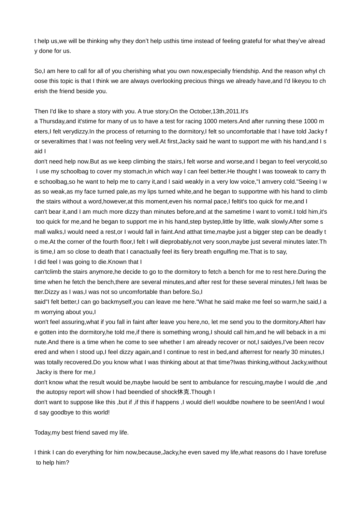t help us,we will be thinking why they don't help usthis time instead of feeling grateful for what they've alread y done for us.

So,I am here to call for all of you cherishing what you own now, especially friendship. And the reason whyI ch oose this topic is that I think we are always overlooking precious things we already have,and I'd likeyou to ch erish the friend beside you.

## Then I'd like to share a story with you. A true story.On the October,13th,2011.It's

a Thursday,and it'stime for many of us to have a test for racing 1000 meters.And after running these 1000 m eters,I felt verydizzy.In the process of returning to the dormitory,I felt so uncomfortable that I have told Jacky f or severaltimes that I was not feeling very well.At first,Jacky said he want to support me with his hand,and I s aid I

don't need help now.But as we keep climbing the stairs,I felt worse and worse,and I began to feel verycold,so I use my schoolbag to cover my stomach, in which way I can feel better. He thought I was tooweak to carry th e schoolbag,so he want to help me to carry it,and I said weakly in a very low voice,"I amvery cold."Seeing I w as so weak,as my face turned pale,as my lips turned white,and he began to supportme with his hand to climb the stairs without a word, however, at this moment, even his normal pace, I feltit's too quick for me, and I can't bear it,and I am much more dizzy than minutes before,and at the sametime I want to vomit.I told him,it's too quick for me,and he began to support me in his hand,step bystep,little by little, walk slowly.After some s mall walks,I would need a rest,or I would fall in faint.And atthat time,maybe just a bigger step can be deadly t o me.At the corner of the fourth floor,I felt I will dieprobably,not very soon,maybe just several minutes later.Th is time,I am so close to death that I canactually feel its fiery breath engulfing me. That is to say,

I did feel I was going to die.Known that I

can'tclimb the stairs anymore,he decide to go to the dormitory to fetch a bench for me to rest here.During the time when he fetch the bench,there are several minutes, and after rest for these several minutes, I felt Iwas be tter.Dizzy as I was,I was not so uncomfortable than before.So,I

said"I felt better,I can go backmyself,you can leave me here."What he said make me feel so warm,he said,I a m worrying about you,I

won't feel assuring,what if you fall in faint after leave you here,no, let me send you to the dormitory.AfterI hav e gotten into the dormitory,he told me,if there is something wrong,I should call him,and he will beback in a mi nute.And there is a time when he come to see whether I am already recover or not,I saidyes,I've been recov ered and when I stood up,I feel dizzy again,and I continue to rest in bed,and afterrest for nearly 30 minutes,I was totally recovered.Do you know what I was thinking about at that time?Iwas thinking,without Jacky,without Jacky is there for me,I

don't know what the result would be,maybe Iwould be sent to ambulance for rescuing,maybe I would die ,and the autopsy report will show I had beendied of shock休克.Though I

don't want to suppose like this ,but if ,if this if happens ,I would die!I wouldbe nowhere to be seen!And I woul d say goodbye to this world!

Today,my best friend saved my life.

I think I can do everything for him now,because,Jacky,he even saved my life,what reasons do I have torefuse to help him?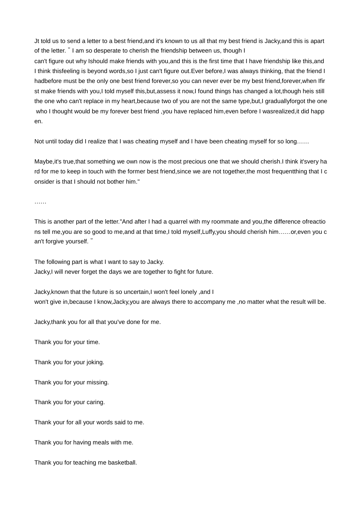Jt told us to send a letter to a best friend,and it's known to us all that my best friend is Jacky,and this is apart of the letter."I am so desperate to cherish the friendship between us, though I

can't figure out why Ishould make friends with you,and this is the first time that I have friendship like this,and I think thisfeeling is beyond words,so I just can't figure out.Ever before,I was always thinking, that the friend I hadbefore must be the only one best friend forever,so you can never ever be my best friend,forever,when Ifir st make friends with you,I told myself this,but,assess it now,I found things has changed a lot,though heis still the one who can't replace in my heart, because two of you are not the same type, but, I graduallyforgot the one who I thought would be my forever best friend , you have replaced him, even before I wasrealized, it did happ en.

Not until today did I realize that I was cheating myself and I have been cheating myself for so long……

Maybe,it's true,that something we own now is the most precious one that we should cherish.I think it'svery ha rd for me to keep in touch with the former best friend,since we are not together,the most frequentthing that I c onsider is that I should not bother him."

……

This is another part of the letter."And after I had a quarrel with my roommate and you,the difference ofreactio ns tell me,you are so good to me,and at that time,I told myself,Luffy,you should cherish him……or,even you c an't forgive yourself."

The following part is what I want to say to Jacky. Jacky,I will never forget the days we are together to fight for future.

Jacky,known that the future is so uncertain,I won't feel lonely ,and I won't give in,because I know,Jacky,you are always there to accompany me ,no matter what the result will be.

Jacky,thank you for all that you've done for me.

Thank you for your time.

Thank you for your joking.

Thank you for your missing.

Thank you for your caring.

Thank your for all your words said to me.

Thank you for having meals with me.

Thank you for teaching me basketball.